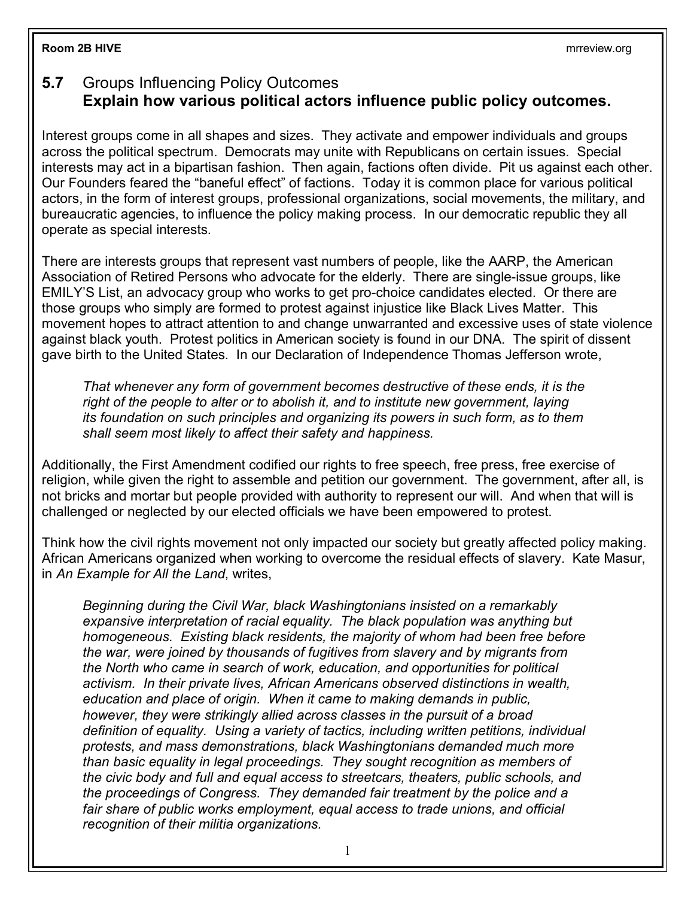## **Room 2B HIVE** mrreview.org

## **5.7** Groups Influencing Policy Outcomes **Explain how various political actors influence public policy outcomes.**

Interest groups come in all shapes and sizes. They activate and empower individuals and groups across the political spectrum. Democrats may unite with Republicans on certain issues. Special interests may act in a bipartisan fashion. Then again, factions often divide. Pit us against each other. Our Founders feared the "baneful effect" of factions. Today it is common place for various political actors, in the form of interest groups, professional organizations, social movements, the military, and bureaucratic agencies, to influence the policy making process. In our democratic republic they all operate as special interests.

There are interests groups that represent vast numbers of people, like the AARP, the American Association of Retired Persons who advocate for the elderly. There are single-issue groups, like EMILY'S List, an advocacy group who works to get pro-choice candidates elected. Or there are those groups who simply are formed to protest against injustice like Black Lives Matter. This movement hopes to attract attention to and change unwarranted and excessive uses of state violence against black youth. Protest politics in American society is found in our DNA. The spirit of dissent gave birth to the United States. In our Declaration of Independence Thomas Jefferson wrote,

*That whenever any form of government becomes destructive of these ends, it is the right of the people to alter or to abolish it, and to institute new government, laying its foundation on such principles and organizing its powers in such form, as to them shall seem most likely to affect their safety and happiness.*

Additionally, the First Amendment codified our rights to free speech, free press, free exercise of religion, while given the right to assemble and petition our government. The government, after all, is not bricks and mortar but people provided with authority to represent our will. And when that will is challenged or neglected by our elected officials we have been empowered to protest.

Think how the civil rights movement not only impacted our society but greatly affected policy making. African Americans organized when working to overcome the residual effects of slavery. Kate Masur, in *An Example for All the Land*, writes,

*Beginning during the Civil War, black Washingtonians insisted on a remarkably expansive interpretation of racial equality. The black population was anything but homogeneous. Existing black residents, the majority of whom had been free before the war, were joined by thousands of fugitives from slavery and by migrants from the North who came in search of work, education, and opportunities for political activism. In their private lives, African Americans observed distinctions in wealth, education and place of origin. When it came to making demands in public, however, they were strikingly allied across classes in the pursuit of a broad definition of equality. Using a variety of tactics, including written petitions, individual protests, and mass demonstrations, black Washingtonians demanded much more than basic equality in legal proceedings. They sought recognition as members of the civic body and full and equal access to streetcars, theaters, public schools, and the proceedings of Congress. They demanded fair treatment by the police and a fair share of public works employment, equal access to trade unions, and official recognition of their militia organizations.*